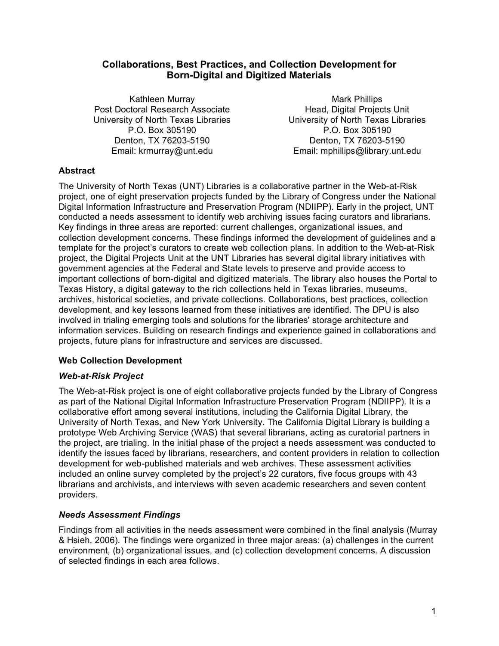# **Collaborations, Best Practices, and Collection Development for Born-Digital and Digitized Materials**

Kathleen Murray Post Doctoral Research Associate University of North Texas Libraries P.O. Box 305190 Denton, TX 76203-5190 Email: krmurray@unt.edu

Mark Phillips Head, Digital Projects Unit University of North Texas Libraries P.O. Box 305190 Denton, TX 76203-5190 Email: mphillips@library.unt.edu

# **Abstract**

The University of North Texas (UNT) Libraries is a collaborative partner in the Web-at-Risk project, one of eight preservation projects funded by the Library of Congress under the National Digital Information Infrastructure and Preservation Program (NDIIPP). Early in the project, UNT conducted a needs assessment to identify web archiving issues facing curators and librarians. Key findings in three areas are reported: current challenges, organizational issues, and collection development concerns. These findings informed the development of guidelines and a template for the project's curators to create web collection plans. In addition to the Web-at-Risk project, the Digital Projects Unit at the UNT Libraries has several digital library initiatives with government agencies at the Federal and State levels to preserve and provide access to important collections of born-digital and digitized materials. The library also houses the Portal to Texas History, a digital gateway to the rich collections held in Texas libraries, museums, archives, historical societies, and private collections. Collaborations, best practices, collection development, and key lessons learned from these initiatives are identified. The DPU is also involved in trialing emerging tools and solutions for the libraries' storage architecture and information services. Building on research findings and experience gained in collaborations and projects, future plans for infrastructure and services are discussed.

## **Web Collection Development**

## *Web-at-Risk Project*

The Web-at-Risk project is one of eight collaborative projects funded by the Library of Congress as part of the National Digital Information Infrastructure Preservation Program (NDIIPP). It is a collaborative effort among several institutions, including the California Digital Library, the University of North Texas, and New York University. The California Digital Library is building a prototype Web Archiving Service (WAS) that several librarians, acting as curatorial partners in the project, are trialing. In the initial phase of the project a needs assessment was conducted to identify the issues faced by librarians, researchers, and content providers in relation to collection development for web-published materials and web archives. These assessment activities included an online survey completed by the project's 22 curators, five focus groups with 43 librarians and archivists, and interviews with seven academic researchers and seven content providers.

## *Needs Assessment Findings*

Findings from all activities in the needs assessment were combined in the final analysis (Murray & Hsieh, 2006). The findings were organized in three major areas: (a) challenges in the current environment, (b) organizational issues, and (c) collection development concerns. A discussion of selected findings in each area follows.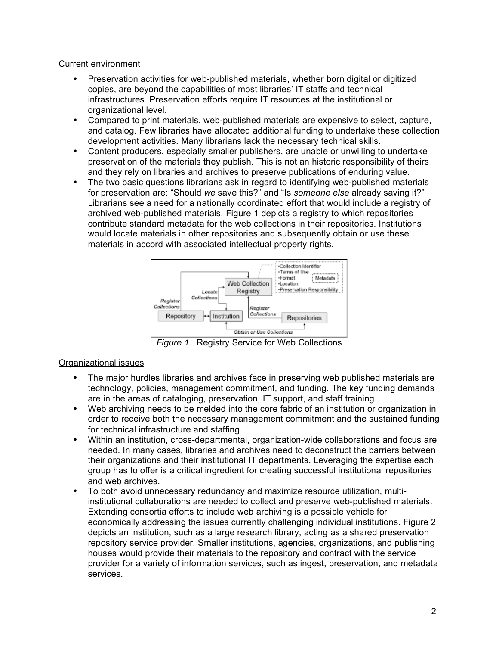### Current environment

- Preservation activities for web-published materials, whether born digital or digitized copies, are beyond the capabilities of most libraries' IT staffs and technical infrastructures. Preservation efforts require IT resources at the institutional or organizational level.
- Compared to print materials, web-published materials are expensive to select, capture, and catalog. Few libraries have allocated additional funding to undertake these collection development activities. Many librarians lack the necessary technical skills.
- Content producers, especially smaller publishers, are unable or unwilling to undertake preservation of the materials they publish. This is not an historic responsibility of theirs and they rely on libraries and archives to preserve publications of enduring value.
- The two basic questions librarians ask in regard to identifying web-published materials for preservation are: "Should *we* save this?" and "Is *someone else* already saving it?" Librarians see a need for a nationally coordinated effort that would include a registry of archived web-published materials. Figure 1 depicts a registry to which repositories contribute standard metadata for the web collections in their repositories. Institutions would locate materials in other repositories and subsequently obtain or use these materials in accord with associated intellectual property rights.



*Figure 1.* Registry Service for Web Collections

# Organizational issues

- The major hurdles libraries and archives face in preserving web published materials are technology, policies, management commitment, and funding. The key funding demands are in the areas of cataloging, preservation, IT support, and staff training.
- Web archiving needs to be melded into the core fabric of an institution or organization in order to receive both the necessary management commitment and the sustained funding for technical infrastructure and staffing.
- Within an institution, cross-departmental, organization-wide collaborations and focus are needed. In many cases, libraries and archives need to deconstruct the barriers between their organizations and their institutional IT departments. Leveraging the expertise each group has to offer is a critical ingredient for creating successful institutional repositories and web archives.
- To both avoid unnecessary redundancy and maximize resource utilization, multiinstitutional collaborations are needed to collect and preserve web-published materials. Extending consortia efforts to include web archiving is a possible vehicle for economically addressing the issues currently challenging individual institutions. Figure 2 depicts an institution, such as a large research library, acting as a shared preservation repository service provider. Smaller institutions, agencies, organizations, and publishing houses would provide their materials to the repository and contract with the service provider for a variety of information services, such as ingest, preservation, and metadata services.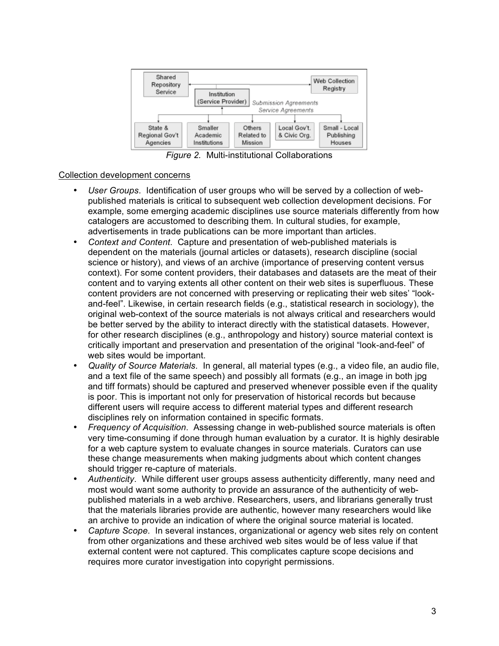

*Figure 2.* Multi-institutional Collaborations

### Collection development concerns

- *User Groups*. Identification of user groups who will be served by a collection of webpublished materials is critical to subsequent web collection development decisions. For example, some emerging academic disciplines use source materials differently from how catalogers are accustomed to describing them. In cultural studies, for example, advertisements in trade publications can be more important than articles.
- *Context and Content*. Capture and presentation of web-published materials is dependent on the materials (journal articles or datasets), research discipline (social science or history), and views of an archive (importance of preserving content versus context). For some content providers, their databases and datasets are the meat of their content and to varying extents all other content on their web sites is superfluous. These content providers are not concerned with preserving or replicating their web sites' "lookand-feel". Likewise, in certain research fields (e.g., statistical research in sociology), the original web-context of the source materials is not always critical and researchers would be better served by the ability to interact directly with the statistical datasets. However, for other research disciplines (e.g., anthropology and history) source material context is critically important and preservation and presentation of the original "look-and-feel" of web sites would be important.
- *Quality of Source Materials*. In general, all material types (e.g., a video file, an audio file, and a text file of the same speech) and possibly all formats (e.g., an image in both jpg and tiff formats) should be captured and preserved whenever possible even if the quality is poor. This is important not only for preservation of historical records but because different users will require access to different material types and different research disciplines rely on information contained in specific formats.
- *Frequency of Acquisition*. Assessing change in web-published source materials is often very time-consuming if done through human evaluation by a curator. It is highly desirable for a web capture system to evaluate changes in source materials. Curators can use these change measurements when making judgments about which content changes should trigger re-capture of materials.
- *Authenticity*. While different user groups assess authenticity differently, many need and most would want some authority to provide an assurance of the authenticity of webpublished materials in a web archive. Researchers, users, and librarians generally trust that the materials libraries provide are authentic, however many researchers would like an archive to provide an indication of where the original source material is located.
- *Capture Scope*. In several instances, organizational or agency web sites rely on content from other organizations and these archived web sites would be of less value if that external content were not captured. This complicates capture scope decisions and requires more curator investigation into copyright permissions.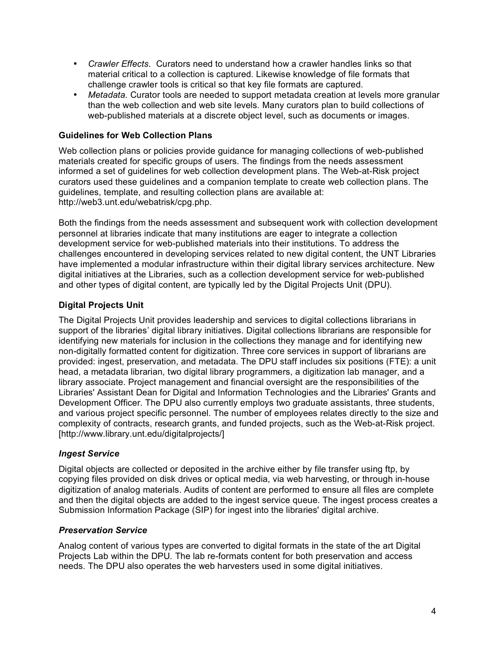- *Crawler Effects*. Curators need to understand how a crawler handles links so that material critical to a collection is captured. Likewise knowledge of file formats that challenge crawler tools is critical so that key file formats are captured.
- *Metadata*. Curator tools are needed to support metadata creation at levels more granular than the web collection and web site levels. Many curators plan to build collections of web-published materials at a discrete object level, such as documents or images.

## **Guidelines for Web Collection Plans**

Web collection plans or policies provide guidance for managing collections of web-published materials created for specific groups of users. The findings from the needs assessment informed a set of guidelines for web collection development plans. The Web-at-Risk project curators used these guidelines and a companion template to create web collection plans. The guidelines, template, and resulting collection plans are available at: http://web3.unt.edu/webatrisk/cpg.php.

Both the findings from the needs assessment and subsequent work with collection development personnel at libraries indicate that many institutions are eager to integrate a collection development service for web-published materials into their institutions. To address the challenges encountered in developing services related to new digital content, the UNT Libraries have implemented a modular infrastructure within their digital library services architecture. New digital initiatives at the Libraries, such as a collection development service for web-published and other types of digital content, are typically led by the Digital Projects Unit (DPU).

# **Digital Projects Unit**

The Digital Projects Unit provides leadership and services to digital collections librarians in support of the libraries' digital library initiatives. Digital collections librarians are responsible for identifying new materials for inclusion in the collections they manage and for identifying new non-digitally formatted content for digitization. Three core services in support of librarians are provided: ingest, preservation, and metadata. The DPU staff includes six positions (FTE): a unit head, a metadata librarian, two digital library programmers, a digitization lab manager, and a library associate. Project management and financial oversight are the responsibilities of the Libraries' Assistant Dean for Digital and Information Technologies and the Libraries' Grants and Development Officer. The DPU also currently employs two graduate assistants, three students, and various project specific personnel. The number of employees relates directly to the size and complexity of contracts, research grants, and funded projects, such as the Web-at-Risk project. [http://www.library.unt.edu/digitalprojects/]

# *Ingest Service*

Digital objects are collected or deposited in the archive either by file transfer using ftp, by copying files provided on disk drives or optical media, via web harvesting, or through in-house digitization of analog materials. Audits of content are performed to ensure all files are complete and then the digital objects are added to the ingest service queue. The ingest process creates a Submission Information Package (SIP) for ingest into the libraries' digital archive.

## *Preservation Service*

Analog content of various types are converted to digital formats in the state of the art Digital Projects Lab within the DPU. The lab re-formats content for both preservation and access needs. The DPU also operates the web harvesters used in some digital initiatives.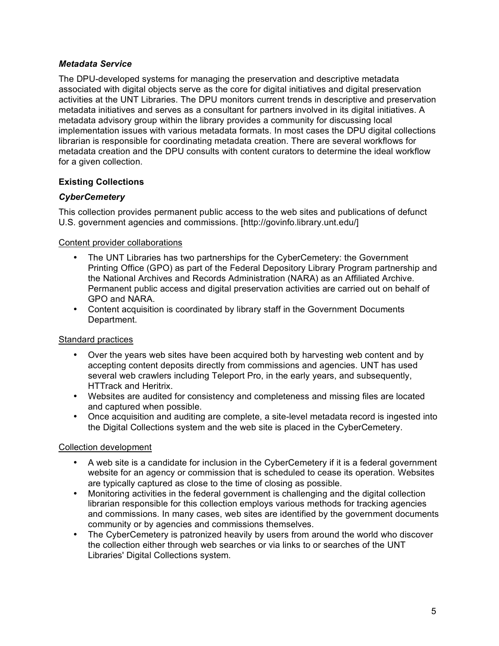## *Metadata Service*

The DPU-developed systems for managing the preservation and descriptive metadata associated with digital objects serve as the core for digital initiatives and digital preservation activities at the UNT Libraries. The DPU monitors current trends in descriptive and preservation metadata initiatives and serves as a consultant for partners involved in its digital initiatives. A metadata advisory group within the library provides a community for discussing local implementation issues with various metadata formats. In most cases the DPU digital collections librarian is responsible for coordinating metadata creation. There are several workflows for metadata creation and the DPU consults with content curators to determine the ideal workflow for a given collection.

# **Existing Collections**

# *CyberCemetery*

This collection provides permanent public access to the web sites and publications of defunct U.S. government agencies and commissions. [http://govinfo.library.unt.edu/]

Content provider collaborations

- The UNT Libraries has two partnerships for the CyberCemetery: the Government Printing Office (GPO) as part of the Federal Depository Library Program partnership and the National Archives and Records Administration (NARA) as an Affiliated Archive. Permanent public access and digital preservation activities are carried out on behalf of GPO and NARA.
- Content acquisition is coordinated by library staff in the Government Documents Department.

## Standard practices

- Over the years web sites have been acquired both by harvesting web content and by accepting content deposits directly from commissions and agencies. UNT has used several web crawlers including Teleport Pro, in the early years, and subsequently, HTTrack and Heritrix.
- Websites are audited for consistency and completeness and missing files are located and captured when possible.
- Once acquisition and auditing are complete, a site-level metadata record is ingested into the Digital Collections system and the web site is placed in the CyberCemetery.

## Collection development

- A web site is a candidate for inclusion in the CyberCemetery if it is a federal government website for an agency or commission that is scheduled to cease its operation. Websites are typically captured as close to the time of closing as possible.
- Monitoring activities in the federal government is challenging and the digital collection librarian responsible for this collection employs various methods for tracking agencies and commissions. In many cases, web sites are identified by the government documents community or by agencies and commissions themselves.
- The CyberCemetery is patronized heavily by users from around the world who discover the collection either through web searches or via links to or searches of the UNT Libraries' Digital Collections system.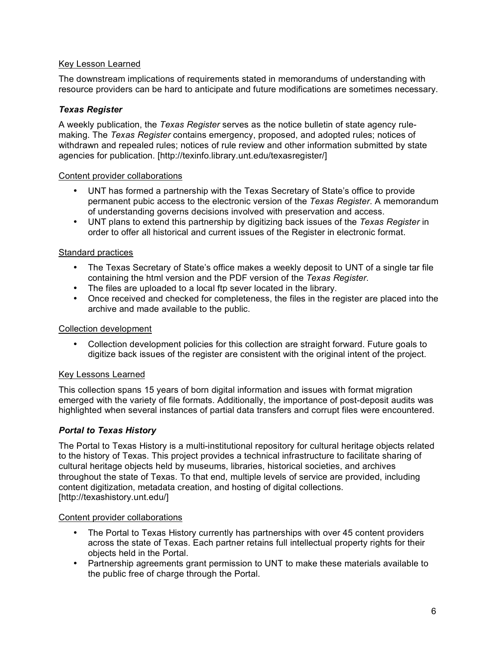## Key Lesson Learned

The downstream implications of requirements stated in memorandums of understanding with resource providers can be hard to anticipate and future modifications are sometimes necessary.

### *Texas Register*

A weekly publication, the *Texas Register* serves as the notice bulletin of state agency rulemaking. The *Texas Register* contains emergency, proposed, and adopted rules; notices of withdrawn and repealed rules; notices of rule review and other information submitted by state agencies for publication. [http://texinfo.library.unt.edu/texasregister/]

#### Content provider collaborations

- UNT has formed a partnership with the Texas Secretary of State's office to provide permanent pubic access to the electronic version of the *Texas Register*. A memorandum of understanding governs decisions involved with preservation and access.
- UNT plans to extend this partnership by digitizing back issues of the *Texas Register* in order to offer all historical and current issues of the Register in electronic format.

### Standard practices

- The Texas Secretary of State's office makes a weekly deposit to UNT of a single tar file containing the html version and the PDF version of the *Texas Register*.
- The files are uploaded to a local ftp sever located in the library.
- Once received and checked for completeness, the files in the register are placed into the archive and made available to the public.

#### Collection development

• Collection development policies for this collection are straight forward. Future goals to digitize back issues of the register are consistent with the original intent of the project.

#### Key Lessons Learned

This collection spans 15 years of born digital information and issues with format migration emerged with the variety of file formats. Additionally, the importance of post-deposit audits was highlighted when several instances of partial data transfers and corrupt files were encountered.

#### *Portal to Texas History*

The Portal to Texas History is a multi-institutional repository for cultural heritage objects related to the history of Texas. This project provides a technical infrastructure to facilitate sharing of cultural heritage objects held by museums, libraries, historical societies, and archives throughout the state of Texas. To that end, multiple levels of service are provided, including content digitization, metadata creation, and hosting of digital collections. [http://texashistory.unt.edu/]

#### Content provider collaborations

- The Portal to Texas History currently has partnerships with over 45 content providers across the state of Texas. Each partner retains full intellectual property rights for their objects held in the Portal.
- Partnership agreements grant permission to UNT to make these materials available to the public free of charge through the Portal.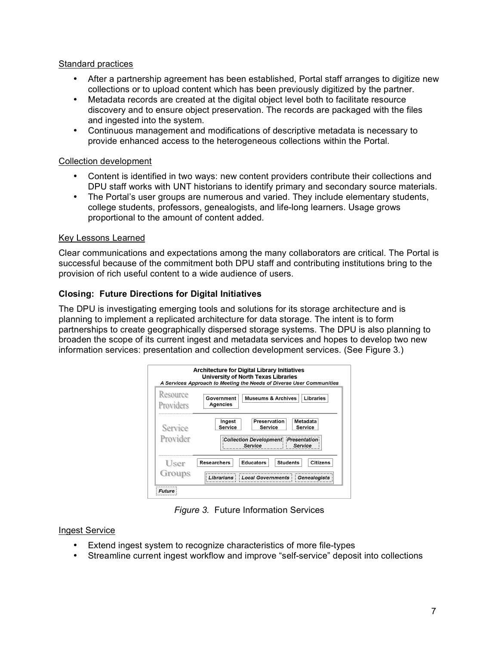### Standard practices

- After a partnership agreement has been established, Portal staff arranges to digitize new collections or to upload content which has been previously digitized by the partner.
- Metadata records are created at the digital object level both to facilitate resource discovery and to ensure object preservation. The records are packaged with the files and ingested into the system.
- Continuous management and modifications of descriptive metadata is necessary to provide enhanced access to the heterogeneous collections within the Portal.

## Collection development

- Content is identified in two ways: new content providers contribute their collections and DPU staff works with UNT historians to identify primary and secondary source materials.
- The Portal's user groups are numerous and varied. They include elementary students, college students, professors, genealogists, and life-long learners. Usage grows proportional to the amount of content added.

## Key Lessons Learned

Clear communications and expectations among the many collaborators are critical. The Portal is successful because of the commitment both DPU staff and contributing institutions bring to the provision of rich useful content to a wide audience of users.

## **Closing: Future Directions for Digital Initiatives**

The DPU is investigating emerging tools and solutions for its storage architecture and is planning to implement a replicated architecture for data storage. The intent is to form partnerships to create geographically dispersed storage systems. The DPU is also planning to broaden the scope of its current ingest and metadata services and hopes to develop two new information services: presentation and collection development services. (See Figure 3.)

| Resource  | Libraries<br><b>Museums &amp; Archives</b><br>Government                     |
|-----------|------------------------------------------------------------------------------|
| Providers | Agencies                                                                     |
| Service   | Metadata<br>Ingest<br>Preservation<br>Service<br>Service<br>Service          |
| Provider  | Collection Development Presentation<br>Service<br>Service                    |
| User      | <b>Educators</b><br><b>Researchers</b><br><b>Students</b><br><b>Citizens</b> |
| Groups    | Librarians Local Governments<br><b>Genealogists</b>                          |

*Figure 3.* Future Information Services

## Ingest Service

- Extend ingest system to recognize characteristics of more file-types
- Streamline current ingest workflow and improve "self-service" deposit into collections